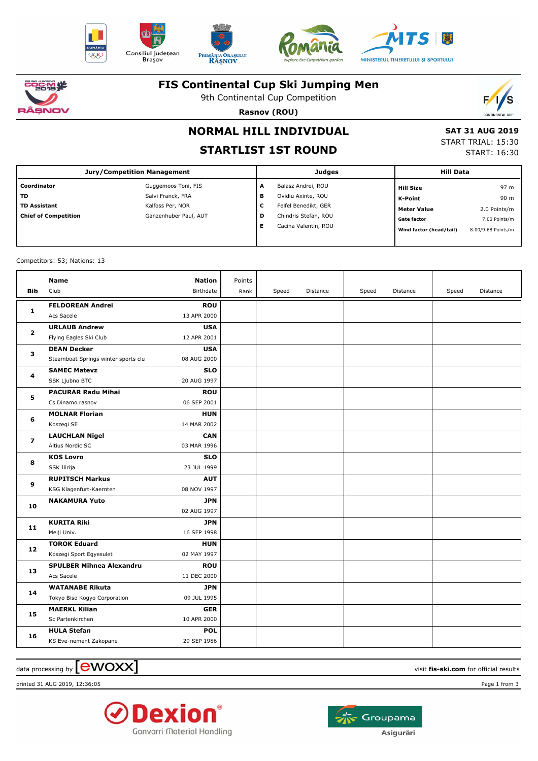











#### **FIS Continental Cup Ski Jumping Men**

9th Continental Cup Competition



**Rasnov (ROU)**

## **NORMAL HILL INDIVIDUAL**

### **STARTLIST 1ST ROUND**

 **SAT 31 AUG 2019** START TRIAL: 15:30 START: 16:30

| Jury/Competition Management |                       |   | <b>Judges</b>        | <b>Hill Data</b> |                         |                    |
|-----------------------------|-----------------------|---|----------------------|------------------|-------------------------|--------------------|
| Coordinator                 | Guggemoos Toni, FIS   | A | Balasz Andrei, ROU   |                  | <b>Hill Size</b>        | 97 m               |
| TD                          | Salvi Franck, FRA     | в | Ovidiu Axinte, ROU   |                  | <b>K-Point</b>          | 90 m               |
| <b>TD Assistant</b>         | Kalfoss Per, NOR      | c | Feifel Benedikt, GER |                  | <b>Meter Value</b>      | 2.0 Points/m       |
| <b>Chief of Competition</b> | Ganzenhuber Paul, AUT | D | Chindris Stefan, ROU |                  | <b>Gate factor</b>      | 7.00 Points/m      |
|                             |                       | Е | Cacina Valentin, ROU |                  | Wind factor (head/tail) | 8.00/9.68 Points/m |
|                             |                       |   |                      |                  |                         |                    |

Competitors: 53; Nations: 13

| <b>Bib</b>     | <b>Name</b><br>Club                   | Nation<br>Birthdate       | Points<br>Rank | Speed | Distance | Speed | Distance | Speed | Distance |
|----------------|---------------------------------------|---------------------------|----------------|-------|----------|-------|----------|-------|----------|
| 1              | <b>FELDOREAN Andrei</b><br>Acs Sacele | <b>ROU</b><br>13 APR 2000 |                |       |          |       |          |       |          |
| $\mathbf{2}$   | <b>URLAUB Andrew</b>                  | <b>USA</b>                |                |       |          |       |          |       |          |
|                | Flying Eagles Ski Club                | 12 APR 2001               |                |       |          |       |          |       |          |
| з              | <b>DEAN Decker</b>                    | <b>USA</b>                |                |       |          |       |          |       |          |
|                | Steamboat Springs winter sports clu   | 08 AUG 2000               |                |       |          |       |          |       |          |
| 4              | <b>SAMEC Matevz</b>                   | <b>SLO</b>                |                |       |          |       |          |       |          |
|                | SSK Ljubno BTC                        | 20 AUG 1997               |                |       |          |       |          |       |          |
| 5              | <b>PACURAR Radu Mihai</b>             | <b>ROU</b>                |                |       |          |       |          |       |          |
|                | Cs Dinamo rasnov                      | 06 SEP 2001               |                |       |          |       |          |       |          |
| 6              | <b>MOLNAR Florian</b>                 | <b>HUN</b>                |                |       |          |       |          |       |          |
|                | Koszegi SE                            | 14 MAR 2002               |                |       |          |       |          |       |          |
| $\overline{ }$ | <b>LAUCHLAN Nigel</b>                 | <b>CAN</b>                |                |       |          |       |          |       |          |
|                | Altius Nordic SC                      | 03 MAR 1996               |                |       |          |       |          |       |          |
| 8              | <b>KOS Lovro</b>                      | <b>SLO</b>                |                |       |          |       |          |       |          |
|                | SSK Ilirija                           | 23 JUL 1999               |                |       |          |       |          |       |          |
| 9              | <b>RUPITSCH Markus</b>                | <b>AUT</b>                |                |       |          |       |          |       |          |
|                | KSG Klagenfurt-Kaernten               | 08 NOV 1997               |                |       |          |       |          |       |          |
| 10             | <b>NAKAMURA Yuto</b>                  | <b>JPN</b>                |                |       |          |       |          |       |          |
|                |                                       | 02 AUG 1997               |                |       |          |       |          |       |          |
| 11             | <b>KURITA Riki</b>                    | <b>JPN</b>                |                |       |          |       |          |       |          |
|                | Meiji Univ.                           | 16 SEP 1998               |                |       |          |       |          |       |          |
| 12             | <b>TOROK Eduard</b>                   | <b>HUN</b>                |                |       |          |       |          |       |          |
|                | Koszegi Sport Egyesulet               | 02 MAY 1997               |                |       |          |       |          |       |          |
| 13             | <b>SPULBER Mihnea Alexandru</b>       | <b>ROU</b>                |                |       |          |       |          |       |          |
|                | Acs Sacele                            | 11 DEC 2000               |                |       |          |       |          |       |          |
| 14             | <b>WATANABE Rikuta</b>                | <b>JPN</b>                |                |       |          |       |          |       |          |
|                | Tokyo Biso Kogyo Corporation          | 09 JUL 1995               |                |       |          |       |          |       |          |
| 15             | <b>MAERKL Kilian</b>                  | <b>GER</b>                |                |       |          |       |          |       |          |
|                | Sc Partenkirchen                      | 10 APR 2000               |                |       |          |       |          |       |          |
| 16             | <b>HULA Stefan</b>                    | <b>POL</b>                |                |       |          |       |          |       |          |
|                | KS Eve-nement Zakopane                | 29 SEP 1986               |                |       |          |       |          |       |          |

 $\alpha$  data processing by  $\boxed{\text{ewOX}}$ 

printed 31 AUG 2019, 12:36:05 Page 1 from 3



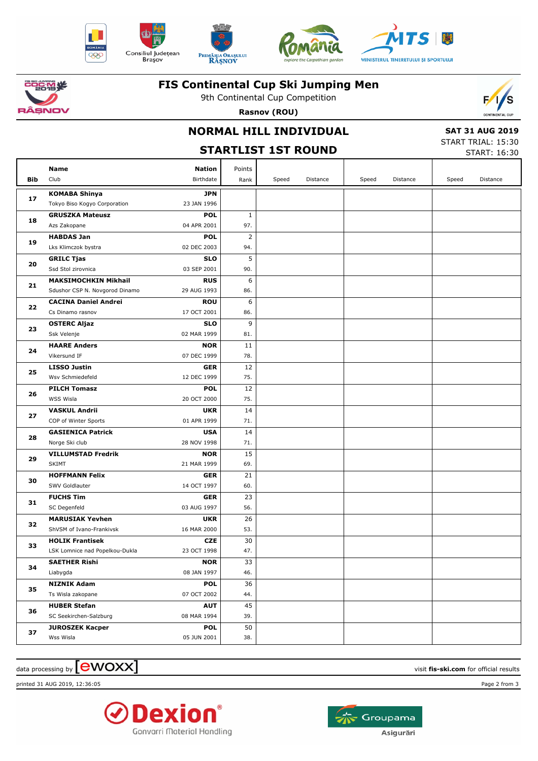











#### **FIS Continental Cup Ski Jumping Men**

9th Continental Cup Competition **Rasnov (ROU)**



#### **NORMAL HILL INDIVIDUAL**

# **STARTLIST 1ST ROUND**

 **SAT 31 AUG 2019** START TRIAL: 15:30

|     | <b>STARTLIST 1ST ROUND</b>              |                           |                |       |          |       |          |       | START: 16:30 |  |  |
|-----|-----------------------------------------|---------------------------|----------------|-------|----------|-------|----------|-------|--------------|--|--|
|     | Name                                    | <b>Nation</b>             | Points         |       |          |       |          |       |              |  |  |
| Bib | Club                                    | Birthdate                 | Rank           | Speed | Distance | Speed | Distance | Speed | Distance     |  |  |
|     | <b>KOMABA Shinya</b>                    | <b>JPN</b>                |                |       |          |       |          |       |              |  |  |
| 17  | Tokyo Biso Kogyo Corporation            | 23 JAN 1996               |                |       |          |       |          |       |              |  |  |
|     | <b>GRUSZKA Mateusz</b>                  | <b>POL</b>                | $\mathbf{1}$   |       |          |       |          |       |              |  |  |
| 18  | Azs Zakopane                            | 04 APR 2001               | 97.            |       |          |       |          |       |              |  |  |
| 19  | <b>HABDAS Jan</b>                       | <b>POL</b>                | $\overline{2}$ |       |          |       |          |       |              |  |  |
|     | Lks Klimczok bystra                     | 02 DEC 2003               | 94.            |       |          |       |          |       |              |  |  |
| 20  | <b>GRILC Tjas</b>                       | <b>SLO</b>                | 5              |       |          |       |          |       |              |  |  |
|     | Ssd Stol zirovnica                      | 03 SEP 2001               | 90.            |       |          |       |          |       |              |  |  |
| 21  | <b>MAKSIMOCHKIN Mikhail</b>             | <b>RUS</b>                | 6              |       |          |       |          |       |              |  |  |
|     | Sdushor CSP N. Novgorod Dinamo          | 29 AUG 1993               | 86.            |       |          |       |          |       |              |  |  |
| 22  | <b>CACINA Daniel Andrei</b>             | <b>ROU</b>                | 6              |       |          |       |          |       |              |  |  |
|     | Cs Dinamo rasnov                        | 17 OCT 2001               | 86.            |       |          |       |          |       |              |  |  |
| 23  | <b>OSTERC Aljaz</b>                     | <b>SLO</b>                | 9              |       |          |       |          |       |              |  |  |
|     | Ssk Velenje                             | 02 MAR 1999               | 81.            |       |          |       |          |       |              |  |  |
| 24  | <b>HAARE Anders</b>                     | <b>NOR</b>                | 11             |       |          |       |          |       |              |  |  |
|     | Vikersund IF                            | 07 DEC 1999               | 78.            |       |          |       |          |       |              |  |  |
| 25  | <b>LISSO Justin</b>                     | GER                       | 12             |       |          |       |          |       |              |  |  |
|     | Wsv Schmiedefeld                        | 12 DEC 1999               | 75.            |       |          |       |          |       |              |  |  |
| 26  | <b>PILCH Tomasz</b>                     | <b>POL</b>                | 12             |       |          |       |          |       |              |  |  |
|     | WSS Wisla                               | 20 OCT 2000               | 75.            |       |          |       |          |       |              |  |  |
| 27  | <b>VASKUL Andrii</b>                    | <b>UKR</b>                | 14             |       |          |       |          |       |              |  |  |
|     | COP of Winter Sports                    | 01 APR 1999               | 71.            |       |          |       |          |       |              |  |  |
| 28  | <b>GASIENICA Patrick</b>                | <b>USA</b>                | 14             |       |          |       |          |       |              |  |  |
|     | Norge Ski club                          | 28 NOV 1998               | 71.            |       |          |       |          |       |              |  |  |
| 29  | <b>VILLUMSTAD Fredrik</b>               | <b>NOR</b>                | 15             |       |          |       |          |       |              |  |  |
|     | <b>SKIMT</b>                            | 21 MAR 1999               | 69.            |       |          |       |          |       |              |  |  |
| 30  | <b>HOFFMANN Felix</b><br>SWV Goldlauter | <b>GER</b><br>14 OCT 1997 | 21<br>60.      |       |          |       |          |       |              |  |  |
|     | <b>FUCHS Tim</b>                        | <b>GER</b>                | 23             |       |          |       |          |       |              |  |  |
| 31  | SC Degenfeld                            | 03 AUG 1997               | 56.            |       |          |       |          |       |              |  |  |
|     | <b>MARUSIAK Yevhen</b>                  | <b>UKR</b>                | 26             |       |          |       |          |       |              |  |  |
| 32  | ShVSM of Ivano-Frankivsk                | 16 MAR 2000               | 53.            |       |          |       |          |       |              |  |  |
|     | <b>HOLIK Frantisek</b>                  | <b>CZE</b>                | 30             |       |          |       |          |       |              |  |  |
| 33  | LSK Lomnice nad Popelkou-Dukla          | 23 OCT 1998               | 47.            |       |          |       |          |       |              |  |  |
|     | <b>SAETHER Rishi</b>                    | <b>NOR</b>                | 33             |       |          |       |          |       |              |  |  |
| 34  | Liabygda                                | 08 JAN 1997               | 46.            |       |          |       |          |       |              |  |  |
|     | <b>NIZNIK Adam</b>                      | <b>POL</b>                | 36             |       |          |       |          |       |              |  |  |
| 35  | Ts Wisla zakopane                       | 07 OCT 2002               | 44.            |       |          |       |          |       |              |  |  |
|     | <b>HUBER Stefan</b>                     | <b>AUT</b>                | 45             |       |          |       |          |       |              |  |  |
| 36  | SC Seekirchen-Salzburg                  | 08 MAR 1994               | 39.            |       |          |       |          |       |              |  |  |
|     | <b>JUROSZEK Kacper</b>                  | <b>POL</b>                | 50             |       |          |       |          |       |              |  |  |
| 37  | Wss Wisla                               | 05 JUN 2001               | 38.            |       |          |       |          |       |              |  |  |

#### $\frac{1}{2}$  data processing by  $\boxed{\text{ewOX}}$

printed 31 AUG 2019, 12:36:05 Page 2 from 3